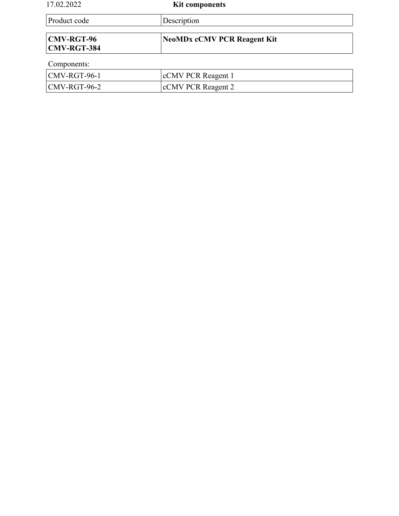| 17.02.2022                              | <b>Kit components</b>              |  |
|-----------------------------------------|------------------------------------|--|
| Product code                            | Description                        |  |
| <b>CMV-RGT-96</b><br><b>CMV-RGT-384</b> | <b>NeoMDx cCMV PCR Reagent Kit</b> |  |
| Components:                             |                                    |  |
| CMV-RGT-96-1                            | cCMV PCR Reagent 1                 |  |
| $CMV-RGT-96-2$                          | cCMV PCR Reagent 2                 |  |

 $\overline{\phantom{a}}$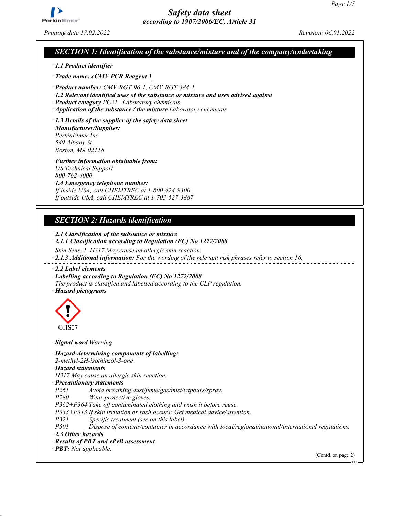

*Printing date 17.02.2022 Revision: 06.01.2022*

#### *SECTION 1: Identification of the substance/mixture and of the company/undertaking*

*ꞏ 1.1 Product identifier*

*ꞏ Trade name: cCMV PCR Reagent 1*

*ꞏ Product number: CMV-RGT-96-1, CMV-RGT-384-1*

*ꞏ 1.2 Relevant identified uses of the substance or mixture and uses advised against*

*ꞏ Product category PC21 Laboratory chemicals*

*ꞏ Application of the substance / the mixture Laboratory chemicals*

*ꞏ 1.3 Details of the supplier of the safety data sheet*

*ꞏ Manufacturer/Supplier: PerkinElmer Inc 549 Albany St Boston, MA 02118*

*ꞏ Further information obtainable from: US Technical Support 800-762-4000*

*ꞏ 1.4 Emergency telephone number: If inside USA, call CHEMTREC at 1-800-424-9300 If outside USA, call CHEMTREC at 1-703-527-3887*

### *SECTION 2: Hazards identification*

*ꞏ 2.1 Classification of the substance or mixture ꞏ 2.1.1 Classification according to Regulation (EC) No 1272/2008 Skin Sens. 1 H317 May cause an allergic skin reaction. ꞏ 2.1.3 Additional information: For the wording of the relevant risk phrases refer to section 16. ꞏ 2.2 Label elements ꞏ Labelling according to Regulation (EC) No 1272/2008 The product is classified and labelled according to the CLP regulation. ꞏ Hazard pictograms*



*ꞏ Signal word Warning*

*ꞏ Hazard-determining components of labelling:*

*2-methyl-2H-isothiazol-3-one*

*ꞏ Hazard statements*

*H317 May cause an allergic skin reaction.*

*ꞏ Precautionary statements*

*P261 Avoid breathing dust/fume/gas/mist/vapours/spray.*

*P280 Wear protective gloves.*

*P362+P364 Take off contaminated clothing and wash it before reuse.*

*P333+P313 If skin irritation or rash occurs: Get medical advice/attention.*

*P321 Specific treatment (see on this label).*

*P501 Dispose of contents/container in accordance with local/regional/national/international regulations.*

*ꞏ 2.3 Other hazards*

- *ꞏ Results of PBT and vPvB assessment*
- *ꞏ PBT: Not applicable.*

(Contd. on page 2)

EU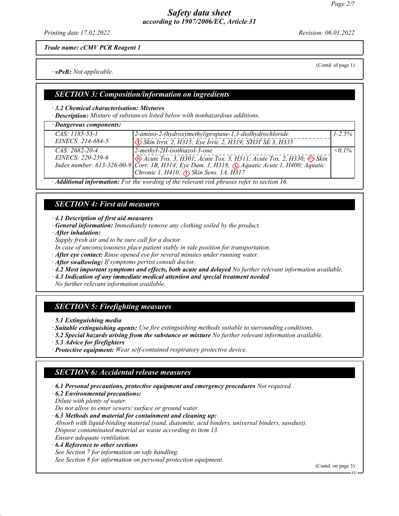*Printing date 17.02.2022 Revision: 06.01.2022*

*Trade name: cCMV PCR Reagent 1*

*ꞏ vPvB: Not applicable.*

(Contd. of page 1)

#### *SECTION 3: Composition/information on ingredients*

#### *ꞏ 3.2 Chemical characterisation: Mixtures*

*ꞏ Description: Mixture of substances listed below with nonhazardous additions.*

| · Dangerous components: |                                                                                                                            |              |
|-------------------------|----------------------------------------------------------------------------------------------------------------------------|--------------|
| $CAS: 1185-53-1$        | 2-amino-2-(hydroxymethyl)propane-1,3-diolhydrochloride                                                                     | $1 - 2.5\%$  |
| EINECS: 214-684-5       | $\sqrt{\sqrt{2}}$ Skin Irrit. 2, H315; Eye Irrit. 2, H319; STOT SE 3, H335                                                 |              |
| $CAS: 2682 - 20 - 4$    | $ 2$ -methyl-2H-isothiazol-3-one                                                                                           | $\leq 0.1\%$ |
|                         | EINECS: 220-239-6<br>Index number: 613-326-00-9 Corr. 1B, H314; Eye Dam. 1, H318; $\otimes$ Aquatic Acute 1, H400; Aquatic |              |
|                         |                                                                                                                            |              |
|                         | Chronic 1, H410; $\langle \rangle$ Skin Sens. 1A, H317                                                                     |              |

*ꞏ Additional information: For the wording of the relevant risk phrases refer to section 16.*

### *SECTION 4: First aid measures*

*ꞏ 4.1 Description of first aid measures*

- *ꞏ General information: Immediately remove any clothing soiled by the product.*
- *ꞏ After inhalation:*
- *Supply fresh air and to be sure call for a doctor.*
- *In case of unconsciousness place patient stably in side position for transportation.*
- *ꞏ After eye contact: Rinse opened eye for several minutes under running water.*
- *ꞏ After swallowing: If symptoms persist consult doctor.*
- *ꞏ 4.2 Most important symptoms and effects, both acute and delayed No further relevant information available.*
- *ꞏ 4.3 Indication of any immediate medical attention and special treatment needed*

*No further relevant information available.*

## *SECTION 5: Firefighting measures*

- *ꞏ 5.1 Extinguishing media*
- *ꞏ Suitable extinguishing agents: Use fire extinguishing methods suitable to surrounding conditions.*
- *ꞏ 5.2 Special hazards arising from the substance or mixture No further relevant information available.*
- *ꞏ 5.3 Advice for firefighters*
- *ꞏ Protective equipment: Wear self-contained respiratory protective device.*

## *SECTION 6: Accidental release measures*

- *ꞏ 6.1 Personal precautions, protective equipment and emergency procedures Not required.*
- *ꞏ 6.2 Environmental precautions:*
- *Dilute with plenty of water.*
- *Do not allow to enter sewers/ surface or ground water.*
- *ꞏ 6.3 Methods and material for containment and cleaning up:*

*Absorb with liquid-binding material (sand, diatomite, acid binders, universal binders, sawdust). Dispose contaminated material as waste according to item 13. Ensure adequate ventilation.*

*ꞏ 6.4 Reference to other sections*

*See Section 7 for information on safe handling. See Section 8 for information on personal protection equipment.*

(Contd. on page 3)

EU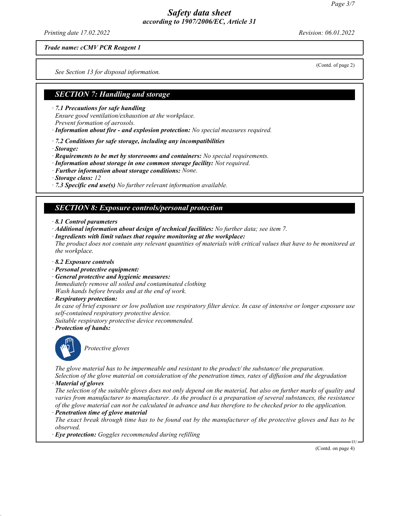*Printing date 17.02.2022 Revision: 06.01.2022*

(Contd. of page 2)

*Trade name: cCMV PCR Reagent 1*

*See Section 13 for disposal information.*

#### *SECTION 7: Handling and storage*

*ꞏ 7.1 Precautions for safe handling*

*Ensure good ventilation/exhaustion at the workplace. Prevent formation of aerosols.*

*ꞏ Information about fire - and explosion protection: No special measures required.*

*ꞏ 7.2 Conditions for safe storage, including any incompatibilities*

*ꞏ Storage:*

*ꞏ Requirements to be met by storerooms and containers: No special requirements.*

*ꞏ Information about storage in one common storage facility: Not required.*

*ꞏ Further information about storage conditions: None.*

*ꞏ Storage class: 12*

*ꞏ 7.3 Specific end use(s) No further relevant information available.*

#### *SECTION 8: Exposure controls/personal protection*

- *ꞏ 8.1 Control parameters*
- *ꞏ Additional information about design of technical facilities: No further data; see item 7.*
- *ꞏ Ingredients with limit values that require monitoring at the workplace: The product does not contain any relevant quantities of materials with critical values that have to be monitored at the workplace.*
- *ꞏ 8.2 Exposure controls*
- *ꞏ Personal protective equipment:*
- *ꞏ General protective and hygienic measures: Immediately remove all soiled and contaminated clothing Wash hands before breaks and at the end of work.*
- *ꞏ Respiratory protection:*

*In case of brief exposure or low pollution use respiratory filter device. In case of intensive or longer exposure use self-contained respiratory protective device.*

*Suitable respiratory protective device recommended.*

*ꞏ Protection of hands:*



*Protective gloves*

*The glove material has to be impermeable and resistant to the product/ the substance/ the preparation.*

*Selection of the glove material on consideration of the penetration times, rates of diffusion and the degradation ꞏ Material of gloves*

*The selection of the suitable gloves does not only depend on the material, but also on further marks of quality and varies from manufacturer to manufacturer. As the product is a preparation of several substances, the resistance of the glove material can not be calculated in advance and has therefore to be checked prior to the application.*

*ꞏ Penetration time of glove material*

*The exact break through time has to be found out by the manufacturer of the protective gloves and has to be observed.*

*ꞏ Eye protection: Goggles recommended during refilling*

(Contd. on page 4)

EU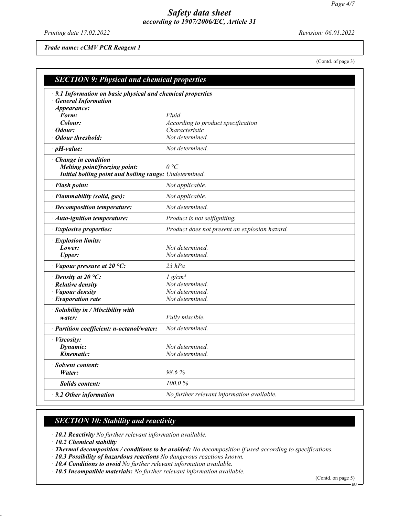*Printing date 17.02.2022 Revision: 06.01.2022*

*Trade name: cCMV PCR Reagent 1*

(Contd. of page 3)

| <b>SECTION 9: Physical and chemical properties</b>                                      |                                               |
|-----------------------------------------------------------------------------------------|-----------------------------------------------|
| 9.1 Information on basic physical and chemical properties<br><b>General Information</b> |                                               |
| · Appearance:                                                                           |                                               |
| Form:                                                                                   | Fluid                                         |
| Colour:                                                                                 | According to product specification            |
| Odour:                                                                                  | Characteristic                                |
| Odour threshold:                                                                        | Not determined.                               |
| $\cdot$ pH-value:                                                                       | Not determined.                               |
| $\cdot$ Change in condition                                                             |                                               |
| Melting point/freezing point:                                                           | $\theta$ °C                                   |
| Initial boiling point and boiling range: Undetermined.                                  |                                               |
| · Flash point:                                                                          | Not applicable.                               |
| · Flammability (solid, gas):                                                            | Not applicable.                               |
| · Decomposition temperature:                                                            | Not determined.                               |
| · Auto-ignition temperature:                                                            | Product is not selfigniting.                  |
| <b>Explosive properties:</b>                                                            | Product does not present an explosion hazard. |
| · Explosion limits:                                                                     |                                               |
| Lower:                                                                                  | Not determined.                               |
| <b>Upper:</b>                                                                           | Not determined.                               |
| · Vapour pressure at 20 °C:                                                             | $23$ hPa                                      |
| $\cdot$ Density at 20 °C:                                                               | $1$ g/cm <sup>3</sup>                         |
| · Relative density                                                                      | Not determined.                               |
| · Vapour density                                                                        | Not determined.                               |
| · Evaporation rate                                                                      | Not determined.                               |
| · Solubility in / Miscibility with                                                      |                                               |
| water:                                                                                  | Fully miscible.                               |
| · Partition coefficient: n-octanol/water:                                               | Not determined.                               |
| · Viscosity:                                                                            |                                               |
| Dynamic:                                                                                | Not determined.                               |
| Kinematic:                                                                              | Not determined.                               |
| · Solvent content:                                                                      |                                               |
| Water:                                                                                  | 98.6%                                         |
| <b>Solids content:</b>                                                                  | 100.0%                                        |
| · 9.2 Other information                                                                 | No further relevant information available.    |

# *SECTION 10: Stability and reactivity*

*ꞏ 10.1 Reactivity No further relevant information available.*

*ꞏ 10.2 Chemical stability*

*ꞏ Thermal decomposition / conditions to be avoided: No decomposition if used according to specifications.*

*ꞏ 10.3 Possibility of hazardous reactions No dangerous reactions known.*

*ꞏ 10.4 Conditions to avoid No further relevant information available.*

*ꞏ 10.5 Incompatible materials: No further relevant information available.*

(Contd. on page 5)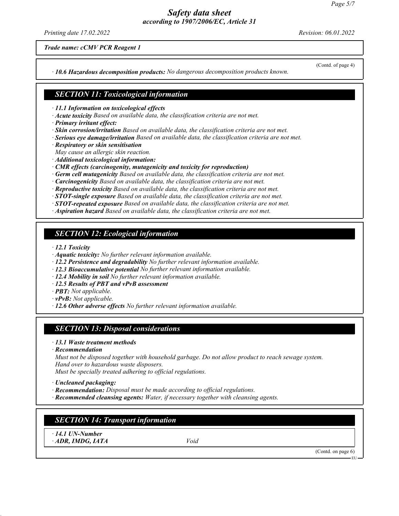*Printing date 17.02.2022 Revision: 06.01.2022*

(Contd. of page 4)

*Trade name: cCMV PCR Reagent 1*

*ꞏ 10.6 Hazardous decomposition products: No dangerous decomposition products known.*

#### *SECTION 11: Toxicological information*

*ꞏ 11.1 Information on toxicological effects*

- *ꞏ Acute toxicity Based on available data, the classification criteria are not met.*
- *ꞏ Primary irritant effect:*
- *ꞏ Skin corrosion/irritation Based on available data, the classification criteria are not met.*
- *ꞏ Serious eye damage/irritation Based on available data, the classification criteria are not met.*
- *ꞏ Respiratory or skin sensitisation*
- *May cause an allergic skin reaction.*
- *ꞏ Additional toxicological information:*
- *ꞏ CMR effects (carcinogenity, mutagenicity and toxicity for reproduction)*
- *ꞏ Germ cell mutagenicity Based on available data, the classification criteria are not met.*
- *ꞏ Carcinogenicity Based on available data, the classification criteria are not met.*
- *ꞏ Reproductive toxicity Based on available data, the classification criteria are not met.*
- *ꞏ STOT-single exposure Based on available data, the classification criteria are not met.*
- *ꞏ STOT-repeated exposure Based on available data, the classification criteria are not met.*
- *ꞏ Aspiration hazard Based on available data, the classification criteria are not met.*

### *SECTION 12: Ecological information*

*ꞏ 12.1 Toxicity*

- *ꞏ Aquatic toxicity: No further relevant information available.*
- *ꞏ 12.2 Persistence and degradability No further relevant information available.*
- *ꞏ 12.3 Bioaccumulative potential No further relevant information available.*
- *ꞏ 12.4 Mobility in soil No further relevant information available.*
- *ꞏ 12.5 Results of PBT and vPvB assessment*
- *ꞏ PBT: Not applicable.*
- *ꞏ vPvB: Not applicable.*
- *ꞏ 12.6 Other adverse effects No further relevant information available.*

### *SECTION 13: Disposal considerations*

- *ꞏ 13.1 Waste treatment methods*
- *ꞏ Recommendation*
- *Must not be disposed together with household garbage. Do not allow product to reach sewage system. Hand over to hazardous waste disposers.*

*Must be specially treated adhering to official regulations.*

- *ꞏ Uncleaned packaging:*
- *ꞏ Recommendation: Disposal must be made according to official regulations.*
- *ꞏ Recommended cleansing agents: Water, if necessary together with cleansing agents.*

## *SECTION 14: Transport information*

*ꞏ 14.1 UN-Number ꞏ ADR, IMDG, IATA Void*

(Contd. on page 6)

EU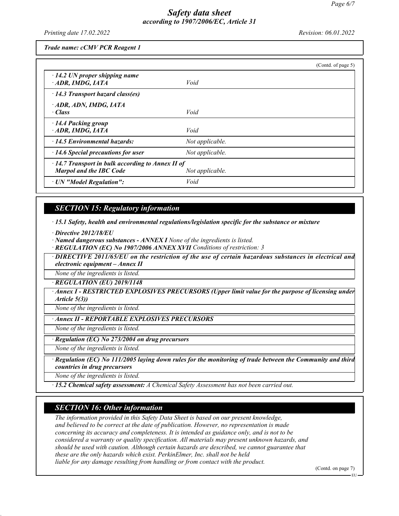*Printing date 17.02.2022 Revision: 06.01.2022*

*Trade name: cCMV PCR Reagent 1*

|                                                                                           |                 | (Contd. of page 5) |
|-------------------------------------------------------------------------------------------|-----------------|--------------------|
| $\cdot$ 14.2 UN proper shipping name<br>ADR, IMDG, IATA                                   | Void            |                    |
| $\cdot$ 14.3 Transport hazard class(es)                                                   |                 |                    |
| $\cdot$ ADR, ADN, IMDG, IATA<br>· Class                                                   | Void            |                    |
| · 14.4 Packing group<br>$\cdot$ ADR, IMDG, IATA                                           | Void            |                    |
| $\cdot$ 14.5 Environmental hazards:                                                       | Not applicable. |                    |
| $\cdot$ 14.6 Special precautions for user                                                 | Not applicable. |                    |
| $\cdot$ 14.7 Transport in bulk according to Annex II of<br><b>Marpol and the IBC Code</b> | Not applicable. |                    |
| · UN "Model Regulation":                                                                  | Void            |                    |

### *SECTION 15: Regulatory information*

*ꞏ 15.1 Safety, health and environmental regulations/legislation specific for the substance or mixture*

*ꞏ Directive 2012/18/EU*

*ꞏ Named dangerous substances - ANNEX I None of the ingredients is listed.*

*ꞏ REGULATION (EC) No 1907/2006 ANNEX XVII Conditions of restriction: 3*

*ꞏ DIRECTIVE 2011/65/EU on the restriction of the use of certain hazardous substances in electrical and electronic equipment – Annex II*

*None of the ingredients is listed.*

*ꞏ REGULATION (EU) 2019/1148*

*ꞏ Annex I - RESTRICTED EXPLOSIVES PRECURSORS (Upper limit value for the purpose of licensing under Article 5(3))*

*None of the ingredients is listed.*

*ꞏ Annex II - REPORTABLE EXPLOSIVES PRECURSORS*

*None of the ingredients is listed.*

*ꞏ Regulation (EC) No 273/2004 on drug precursors*

*None of the ingredients is listed.*

*ꞏ Regulation (EC) No 111/2005 laying down rules for the monitoring of trade between the Community and third countries in drug precursors*

*None of the ingredients is listed.*

*ꞏ 15.2 Chemical safety assessment: A Chemical Safety Assessment has not been carried out.*

### *SECTION 16: Other information*

*The information provided in this Safety Data Sheet is based on our present knowledge, and believed to be correct at the date of publication. However, no representation is made concerning its accuracy and completeness. It is intended as guidance only, and is not to be considered a warranty or quality specification. All materials may present unknown hazards, and should be used with caution. Although certain hazards are described, we cannot guarantee that these are the only hazards which exist. PerkinElmer, Inc. shall not be held liable for any damage resulting from handling or from contact with the product.*

(Contd. on page 7)

EU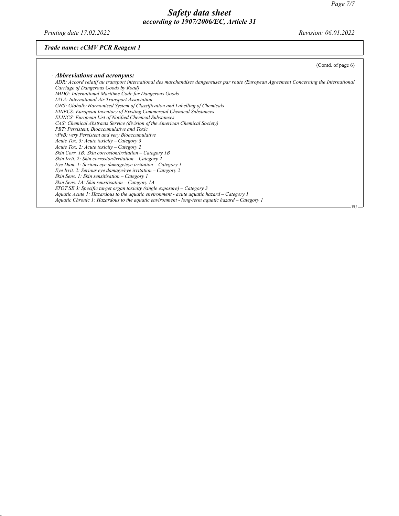*Printing date 17.02.2022 Revision: 06.01.2022*

## *Trade name: cCMV PCR Reagent 1*

| (Contd. of page 6)                                                                                                                     |
|----------------------------------------------------------------------------------------------------------------------------------------|
| $\cdot$ Abbreviations and acronyms:                                                                                                    |
| ADR: Accord relatif au transport international des marchandises dangereuses par route (European Agreement Concerning the International |
| Carriage of Dangerous Goods by Road)                                                                                                   |
| IMDG: International Maritime Code for Dangerous Goods                                                                                  |
| IATA: International Air Transport Association                                                                                          |
| GHS: Globally Harmonised System of Classification and Labelling of Chemicals                                                           |
| EINECS: European Inventory of Existing Commercial Chemical Substances                                                                  |
| <b>ELINCS: European List of Notified Chemical Substances</b>                                                                           |
| CAS: Chemical Abstracts Service (division of the American Chemical Society)                                                            |
| PBT: Persistent, Bioaccumulative and Toxic                                                                                             |
| <i>vPvB: very Persistent and very Bioaccumulative</i>                                                                                  |
| Acute Tox. 3: Acute toxicity – Category 3                                                                                              |
| Acute Tox. 2: Acute toxicity – Category 2                                                                                              |
| Skin Corr. 1B: Skin corrosion/irritation – Category 1B                                                                                 |
| Skin Irrit. 2: Skin corrosion/irritation – Category 2                                                                                  |
| Eye Dam. 1: Serious eye damage/eye irritation $-$ Category 1                                                                           |
| Eye Irrit. 2: Serious eye damage/eye irritation – Category 2                                                                           |
| Skin Sens. 1: Skin sensitisation – Category 1                                                                                          |
| Skin Sens. 1A: Skin sensitisation – Category 1A                                                                                        |
| STOT SE 3: Specific target organ toxicity (single exposure) – Category 3                                                               |
| Aquatic Acute 1: Hazardous to the aquatic environment - acute aquatic hazard $-$ Category 1                                            |
| Aquatic Chronic 1: Hazardous to the aquatic environment - long-term aquatic hazard – Category 1                                        |
| - EU –                                                                                                                                 |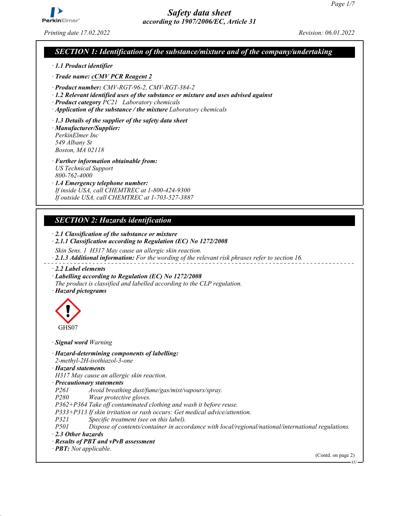

*Printing date 17.02.2022 Revision: 06.01.2022*

#### *SECTION 1: Identification of the substance/mixture and of the company/undertaking*

*ꞏ 1.1 Product identifier*

*ꞏ Trade name: cCMV PCR Reagent 2*

*ꞏ Product number: CMV-RGT-96-2, CMV-RGT-384-2*

*ꞏ 1.2 Relevant identified uses of the substance or mixture and uses advised against*

*ꞏ Product category PC21 Laboratory chemicals*

*ꞏ Application of the substance / the mixture Laboratory chemicals*

*ꞏ 1.3 Details of the supplier of the safety data sheet*

*ꞏ Manufacturer/Supplier: PerkinElmer Inc 549 Albany St Boston, MA 02118*

*ꞏ Further information obtainable from: US Technical Support 800-762-4000*

*ꞏ 1.4 Emergency telephone number: If inside USA, call CHEMTREC at 1-800-424-9300 If outside USA, call CHEMTREC at 1-703-527-3887*

### *SECTION 2: Hazards identification*

*ꞏ 2.1 Classification of the substance or mixture ꞏ 2.1.1 Classification according to Regulation (EC) No 1272/2008 Skin Sens. 1 H317 May cause an allergic skin reaction. ꞏ 2.1.3 Additional information: For the wording of the relevant risk phrases refer to section 16. ꞏ 2.2 Label elements ꞏ Labelling according to Regulation (EC) No 1272/2008 The product is classified and labelled according to the CLP regulation. ꞏ Hazard pictograms*



*ꞏ Signal word Warning*

*ꞏ Hazard-determining components of labelling:*

*2-methyl-2H-isothiazol-3-one*

*ꞏ Hazard statements*

*H317 May cause an allergic skin reaction.*

*ꞏ Precautionary statements*

*P261 Avoid breathing dust/fume/gas/mist/vapours/spray.*

*P280 Wear protective gloves.*

*P362+P364 Take off contaminated clothing and wash it before reuse.*

*P333+P313 If skin irritation or rash occurs: Get medical advice/attention.*

*P321 Specific treatment (see on this label).*

*P501 Dispose of contents/container in accordance with local/regional/national/international regulations.*

*ꞏ 2.3 Other hazards*

- *ꞏ Results of PBT and vPvB assessment*
- *ꞏ PBT: Not applicable.*

(Contd. on page 2)

EU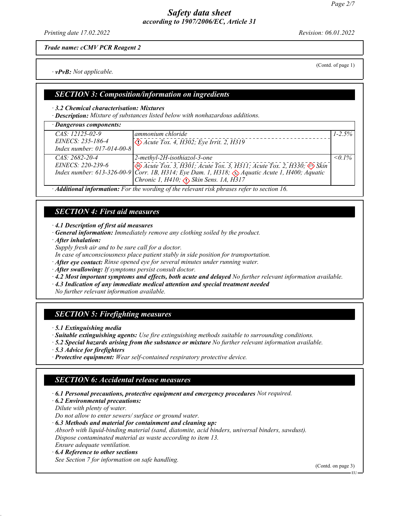*Printing date 17.02.2022 Revision: 06.01.2022*

(Contd. of page 1)

*Trade name: cCMV PCR Reagent 2*

*ꞏ vPvB: Not applicable.*

*ꞏ 3.2 Chemical characterisation: Mixtures ꞏ Description: Mixture of substances listed below with nonhazardous additions.*

*SECTION 3: Composition/information on ingredients*

| · Dangerous components:    |                                                                                                                               |              |
|----------------------------|-------------------------------------------------------------------------------------------------------------------------------|--------------|
| $CAS: 12125-02-9$          | ammonium chloride                                                                                                             | $1 - 2.5\%$  |
| EINECS: 235-186-4          | $\bigotimes$ Acute Tox. 4, H302; Eye Irrit. 2, H319                                                                           |              |
| Index number: 017-014-00-8 |                                                                                                                               |              |
| $CAS: 2682 - 20 - 4$       | 2-methyl-2H-isothiazol-3-one                                                                                                  | $\leq 0.1\%$ |
|                            | EINECS: 220-239-6<br>Index number: 613-326-00-9 Corr. 1B, H314; Eye Dam. 1, H318; $\bigotimes$ Aquatic Acute 1, H400; Aquatic |              |
|                            |                                                                                                                               |              |
|                            | Chronic 1, H410; $\langle \cdot \rangle$ Skin Sens. 1A, H317                                                                  |              |
|                            | A dillet and to Commodons Fourth conceiting of the nel numberies showed unforced to the continue of                           |              |

*ꞏ Additional information: For the wording of the relevant risk phrases refer to section 16.*

## *SECTION 4: First aid measures*

*ꞏ 4.1 Description of first aid measures*

*ꞏ General information: Immediately remove any clothing soiled by the product.*

*ꞏ After inhalation:*

*Supply fresh air and to be sure call for a doctor.*

*In case of unconsciousness place patient stably in side position for transportation.*

*ꞏ After eye contact: Rinse opened eye for several minutes under running water.*

*ꞏ After swallowing: If symptoms persist consult doctor.*

*ꞏ 4.2 Most important symptoms and effects, both acute and delayed No further relevant information available.*

*ꞏ 4.3 Indication of any immediate medical attention and special treatment needed*

*No further relevant information available.*

## *SECTION 5: Firefighting measures*

*ꞏ 5.1 Extinguishing media*

*ꞏ Suitable extinguishing agents: Use fire extinguishing methods suitable to surrounding conditions.*

*ꞏ 5.2 Special hazards arising from the substance or mixture No further relevant information available.*

*ꞏ 5.3 Advice for firefighters*

*ꞏ Protective equipment: Wear self-contained respiratory protective device.*

## *SECTION 6: Accidental release measures*

*ꞏ 6.1 Personal precautions, protective equipment and emergency procedures Not required.*

*ꞏ 6.2 Environmental precautions:*

*Dilute with plenty of water.*

*Do not allow to enter sewers/ surface or ground water.*

*ꞏ 6.3 Methods and material for containment and cleaning up:*

*Absorb with liquid-binding material (sand, diatomite, acid binders, universal binders, sawdust). Dispose contaminated material as waste according to item 13.*

*Ensure adequate ventilation.*

*ꞏ 6.4 Reference to other sections*

*See Section 7 for information on safe handling.*

(Contd. on page 3)

EU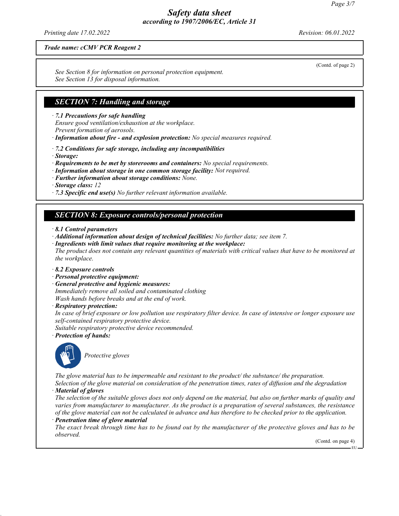*Printing date 17.02.2022 Revision: 06.01.2022*

*Trade name: cCMV PCR Reagent 2*

*See Section 8 for information on personal protection equipment. See Section 13 for disposal information.*

### *SECTION 7: Handling and storage*

*ꞏ 7.1 Precautions for safe handling*

*Ensure good ventilation/exhaustion at the workplace.*

*Prevent formation of aerosols.*

*ꞏ Information about fire - and explosion protection: No special measures required.*

*ꞏ 7.2 Conditions for safe storage, including any incompatibilities*

*ꞏ Storage:*

*ꞏ Requirements to be met by storerooms and containers: No special requirements.*

*ꞏ Information about storage in one common storage facility: Not required.*

*ꞏ Further information about storage conditions: None.*

*ꞏ Storage class: 12*

*ꞏ 7.3 Specific end use(s) No further relevant information available.*

#### *SECTION 8: Exposure controls/personal protection*

#### *ꞏ 8.1 Control parameters*

*ꞏ Additional information about design of technical facilities: No further data; see item 7.*

*ꞏ Ingredients with limit values that require monitoring at the workplace:*

*The product does not contain any relevant quantities of materials with critical values that have to be monitored at the workplace.*

- *ꞏ 8.2 Exposure controls*
- *ꞏ Personal protective equipment:*
- *ꞏ General protective and hygienic measures: Immediately remove all soiled and contaminated clothing Wash hands before breaks and at the end of work.*
- *ꞏ Respiratory protection:*

*In case of brief exposure or low pollution use respiratory filter device. In case of intensive or longer exposure use self-contained respiratory protective device.*

*Suitable respiratory protective device recommended.*

*ꞏ Protection of hands:*



*Protective gloves*

*The glove material has to be impermeable and resistant to the product/ the substance/ the preparation. Selection of the glove material on consideration of the penetration times, rates of diffusion and the degradation*

*ꞏ Material of gloves*

*The selection of the suitable gloves does not only depend on the material, but also on further marks of quality and varies from manufacturer to manufacturer. As the product is a preparation of several substances, the resistance of the glove material can not be calculated in advance and has therefore to be checked prior to the application. ꞏ Penetration time of glove material*

*The exact break through time has to be found out by the manufacturer of the protective gloves and has to be observed.*

(Contd. on page 4)

EU

(Contd. of page 2)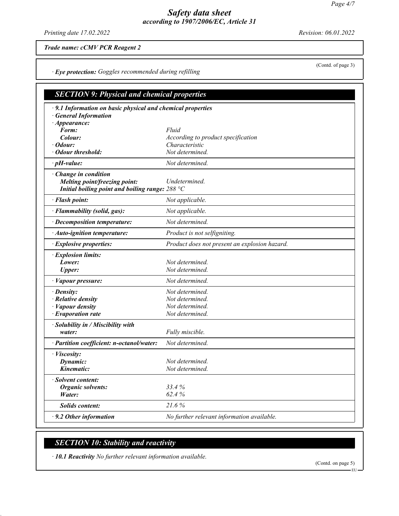*Printing date 17.02.2022 Revision: 06.01.2022*

*Trade name: cCMV PCR Reagent 2*

*ꞏ Eye protection: Goggles recommended during refilling*

| <b>SECTION 9: Physical and chemical properties</b>                                                                                |                                                                          |  |
|-----------------------------------------------------------------------------------------------------------------------------------|--------------------------------------------------------------------------|--|
| · 9.1 Information on basic physical and chemical properties<br>· General Information                                              |                                                                          |  |
| $\cdot$ Appearance:<br>Form:                                                                                                      | Fluid                                                                    |  |
| Colour:<br>· Odour:                                                                                                               | According to product specification<br>Characteristic                     |  |
| • Odour threshold:                                                                                                                | Not determined.                                                          |  |
| $\cdot$ pH-value:                                                                                                                 | Not determined.                                                          |  |
| · Change in condition<br>Melting point/freezing point:<br>Initial boiling point and boiling range: $288 \text{ }^{\circ}\text{C}$ | Undetermined.                                                            |  |
| · Flash point:                                                                                                                    | Not applicable.                                                          |  |
| · Flammability (solid, gas):                                                                                                      | Not applicable.                                                          |  |
| · Decomposition temperature:                                                                                                      | Not determined.                                                          |  |
| · Auto-ignition temperature:                                                                                                      | Product is not selfigniting.                                             |  |
| · Explosive properties:                                                                                                           | Product does not present an explosion hazard.                            |  |
| · Explosion limits:<br>Lower:<br><b>Upper:</b>                                                                                    | Not determined.<br>Not determined.                                       |  |
| · Vapour pressure:                                                                                                                | Not determined.                                                          |  |
| $\cdot$ Density:<br>$\cdot$ Relative density<br>· Vapour density<br>$\cdot$ Evaporation rate                                      | Not determined.<br>Not determined.<br>Not determined.<br>Not determined. |  |
| · Solubility in / Miscibility with<br>water:                                                                                      | Fully miscible.                                                          |  |
| · Partition coefficient: n-octanol/water:                                                                                         | Not determined.                                                          |  |
| · Viscosity:<br>Dynamic:<br>Kinematic:                                                                                            | Not determined.<br>Not determined.                                       |  |
| · Solvent content:<br><b>Organic solvents:</b><br>Water:                                                                          | 33.4%<br>62.4%                                                           |  |
| <b>Solids content:</b>                                                                                                            | 21.6%                                                                    |  |
| $\cdot$ 9.2 Other information                                                                                                     | No further relevant information available.                               |  |

# *SECTION 10: Stability and reactivity*

*ꞏ 10.1 Reactivity No further relevant information available.*

(Contd. on page 5) EU

(Contd. of page 3)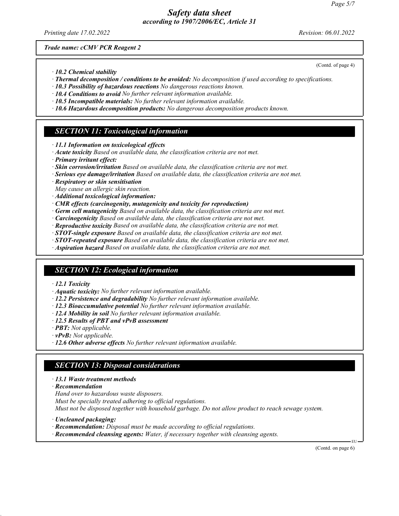*Printing date 17.02.2022 Revision: 06.01.2022*

(Contd. of page 4)

*Trade name: cCMV PCR Reagent 2*

- *ꞏ 10.2 Chemical stability*
- *ꞏ Thermal decomposition / conditions to be avoided: No decomposition if used according to specifications.*
- *ꞏ 10.3 Possibility of hazardous reactions No dangerous reactions known.*
- *ꞏ 10.4 Conditions to avoid No further relevant information available.*
- *ꞏ 10.5 Incompatible materials: No further relevant information available.*
- *ꞏ 10.6 Hazardous decomposition products: No dangerous decomposition products known.*

## *SECTION 11: Toxicological information*

- *ꞏ 11.1 Information on toxicological effects*
- *ꞏ Acute toxicity Based on available data, the classification criteria are not met.*
- *ꞏ Primary irritant effect:*
- *ꞏ Skin corrosion/irritation Based on available data, the classification criteria are not met.*
- *ꞏ Serious eye damage/irritation Based on available data, the classification criteria are not met.*
- *ꞏ Respiratory or skin sensitisation*
- *May cause an allergic skin reaction.*
- *ꞏ Additional toxicological information:*
- *ꞏ CMR effects (carcinogenity, mutagenicity and toxicity for reproduction)*
- *ꞏ Germ cell mutagenicity Based on available data, the classification criteria are not met.*
- *ꞏ Carcinogenicity Based on available data, the classification criteria are not met.*
- *ꞏ Reproductive toxicity Based on available data, the classification criteria are not met.*
- *ꞏ STOT-single exposure Based on available data, the classification criteria are not met.*
- *ꞏ STOT-repeated exposure Based on available data, the classification criteria are not met.*
- *ꞏ Aspiration hazard Based on available data, the classification criteria are not met.*

## *SECTION 12: Ecological information*

- *ꞏ 12.1 Toxicity*
- *ꞏ Aquatic toxicity: No further relevant information available.*
- *ꞏ 12.2 Persistence and degradability No further relevant information available.*
- *ꞏ 12.3 Bioaccumulative potential No further relevant information available.*
- *ꞏ 12.4 Mobility in soil No further relevant information available.*
- *ꞏ 12.5 Results of PBT and vPvB assessment*
- *ꞏ PBT: Not applicable.*
- *ꞏ vPvB: Not applicable.*
- *ꞏ 12.6 Other adverse effects No further relevant information available.*

### *SECTION 13: Disposal considerations*

- *ꞏ 13.1 Waste treatment methods*
- *ꞏ Recommendation*
- *Hand over to hazardous waste disposers.*
- *Must be specially treated adhering to official regulations.*

*Must not be disposed together with household garbage. Do not allow product to reach sewage system.*

- *ꞏ Uncleaned packaging:*
- *ꞏ Recommendation: Disposal must be made according to official regulations.*
- *ꞏ Recommended cleansing agents: Water, if necessary together with cleansing agents.*

(Contd. on page 6)

EU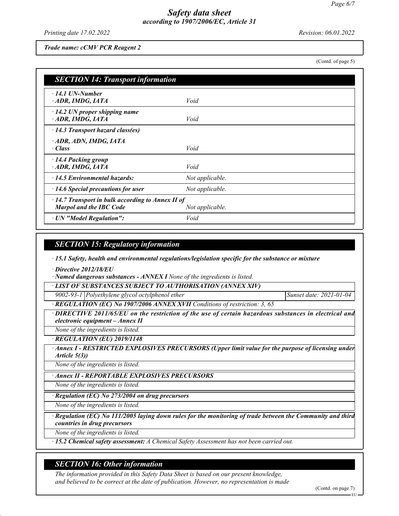*Printing date 17.02.2022 Revision: 06.01.2022*

*Trade name: cCMV PCR Reagent 2*

(Contd. of page 5)

| <b>SECTION 14: Transport information</b>                                                  |                 |  |
|-------------------------------------------------------------------------------------------|-----------------|--|
| $\cdot$ 14.1 UN-Number<br>ADR, IMDG, IATA                                                 | Void            |  |
| $\cdot$ 14.2 UN proper shipping name<br>ADR, IMDG, IATA                                   | Void            |  |
| $\cdot$ 14.3 Transport hazard class(es)                                                   |                 |  |
| · ADR, ADN, IMDG, IATA<br>· Class                                                         | Void            |  |
| · 14.4 Packing group<br>ADR, IMDG, IATA                                                   | Void            |  |
| $\cdot$ 14.5 Environmental hazards:                                                       | Not applicable. |  |
| $\cdot$ 14.6 Special precautions for user                                                 | Not applicable. |  |
| $\cdot$ 14.7 Transport in bulk according to Annex II of<br><b>Marpol and the IBC Code</b> | Not applicable. |  |
| · UN "Model Regulation":                                                                  | Void            |  |

### *SECTION 15: Regulatory information*

*ꞏ 15.1 Safety, health and environmental regulations/legislation specific for the substance or mixture*

*ꞏ Directive 2012/18/EU*

*ꞏ Named dangerous substances - ANNEX I None of the ingredients is listed.*

*ꞏ LIST OF SUBSTANCES SUBJECT TO AUTHORISATION (ANNEX XIV)*

*9002-93-1 Polyethylene glycol octylphenol ether Sunset date: 2021-01-04*

*ꞏ REGULATION (EC) No 1907/2006 ANNEX XVII Conditions of restriction: 3, 65*

*ꞏ DIRECTIVE 2011/65/EU on the restriction of the use of certain hazardous substances in electrical and electronic equipment – Annex II*

*None of the ingredients is listed. ꞏ REGULATION (EU) 2019/1148*

*<b>Annex I - RESTRICTED EXPLOSIVES PRECURSORS (Upper limit value for the purpose of licensing under Article 5(3))*

*None of the ingredients is listed.*

*ꞏ Annex II - REPORTABLE EXPLOSIVES PRECURSORS*

*None of the ingredients is listed.*

*ꞏ Regulation (EC) No 273/2004 on drug precursors*

*None of the ingredients is listed.*

*ꞏ Regulation (EC) No 111/2005 laying down rules for the monitoring of trade between the Community and third countries in drug precursors*

*None of the ingredients is listed.*

*ꞏ 15.2 Chemical safety assessment: A Chemical Safety Assessment has not been carried out.*

## *SECTION 16: Other information*

*The information provided in this Safety Data Sheet is based on our present knowledge, and believed to be correct at the date of publication. However, no representation is made*